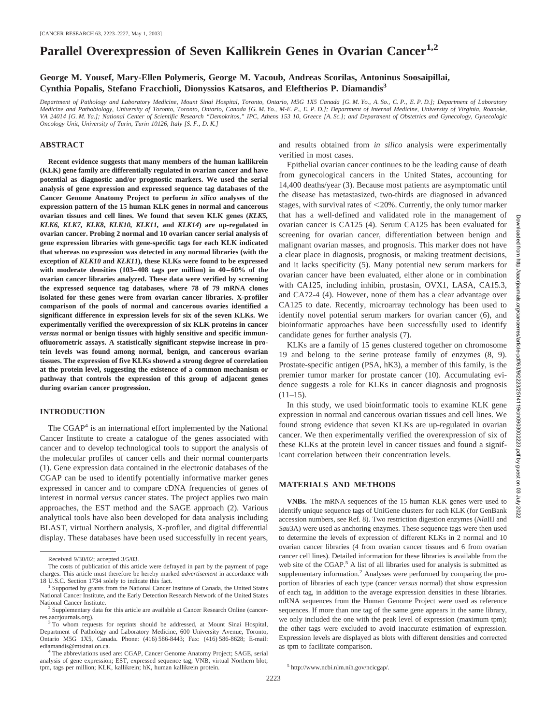# **Parallel Overexpression of Seven Kallikrein Genes in Ovarian Cancer1,2**

#### **George M. Yousef, Mary-Ellen Polymeris, George M. Yacoub, Andreas Scorilas, Antoninus Soosaipillai, Cynthia Popalis, Stefano Fracchioli, Dionyssios Katsaros, and Eleftherios P. Diamandis3**

*Department of Pathology and Laboratory Medicine, Mount Sinai Hospital, Toronto, Ontario, M5G 1X5 Canada [G. M. Yo., A. So., C. P., E. P. D.]; Department of Laboratory Medicine and Pathobiology, University of Toronto, Toronto, Ontario, Canada [G. M. Yo., M-E. P., E. P. D.]; Department of Internal Medicine, University of Virginia, Roanoke, VA 24014 [G. M. Ya.]; National Center of Scientific Research "Demokritos," IPC, Athens 153 10, Greece [A. Sc.]; and Department of Obstetrics and Gynecology, Gynecologic Oncology Unit, University of Turin, Turin 10126, Italy [S. F., D. K.]*

#### **ABSTRACT**

**Recent evidence suggests that many members of the human kallikrein (KLK) gene family are differentially regulated in ovarian cancer and have potential as diagnostic and/or prognostic markers. We used the serial analysis of gene expression and expressed sequence tag databases of the Cancer Genome Anatomy Project to perform** *in silico* **analyses of the expression pattern of the 15 human KLK genes in normal and cancerous ovarian tissues and cell lines. We found that seven KLK genes (***KLK5, KLK6, KLK7, KLK8***,** *KLK10, KLK11,* **and** *KLK14***) are up-regulated in ovarian cancer. Probing 2 normal and 10 ovarian cancer serial analysis of gene expression libraries with gene-specific tags for each KLK indicated that whereas no expression was detected in any normal libraries (with the exception of** *KLK10* **and** *KLK11***), these KLKs were found to be expressed with moderate densities (103–408 tags per million) in 40–60% of the ovarian cancer libraries analyzed. These data were verified by screening the expressed sequence tag databases, where 78 of 79 mRNA clones isolated for these genes were from ovarian cancer libraries. X-profiler comparison of the pools of normal and cancerous ovaries identified a significant difference in expression levels for six of the seven KLKs. We experimentally verified the overexpression of six KLK proteins in cancer** *versus* **normal or benign tissues with highly sensitive and specific immunofluorometric assays. A statistically significant stepwise increase in protein levels was found among normal, benign, and cancerous ovarian tissues. The expression of five KLKs showed a strong degree of correlation at the protein level, suggesting the existence of a common mechanism or pathway that controls the expression of this group of adjacent genes during ovarian cancer progression.**

#### **INTRODUCTION**

The  $CGAP<sup>4</sup>$  is an international effort implemented by the National Cancer Institute to create a catalogue of the genes associated with cancer and to develop technological tools to support the analysis of the molecular profiles of cancer cells and their normal counterparts (1). Gene expression data contained in the electronic databases of the CGAP can be used to identify potentially informative marker genes expressed in cancer and to compare cDNA frequencies of genes of interest in normal *versus* cancer states. The project applies two main approaches, the EST method and the SAGE approach (2). Various analytical tools have also been developed for data analysis including BLAST, virtual Northern analysis, X-profiler, and digital differential display. These databases have been used successfully in recent years, and results obtained from *in silico* analysis were experimentally verified in most cases.

Epithelial ovarian cancer continues to be the leading cause of death from gynecological cancers in the United States, accounting for 14,400 deaths/year (3). Because most patients are asymptomatic until the disease has metastasized, two-thirds are diagnosed in advanced stages, with survival rates of 20%. Currently, the only tumor marker that has a well-defined and validated role in the management of ovarian cancer is CA125 (4). Serum CA125 has been evaluated for screening for ovarian cancer, differentiation between benign and malignant ovarian masses, and prognosis. This marker does not have a clear place in diagnosis, prognosis, or making treatment decisions, and it lacks specificity (5). Many potential new serum markers for ovarian cancer have been evaluated, either alone or in combination with CA125, including inhibin, prostasin, OVX1, LASA, CA15.3, and CA72-4 (4). However, none of them has a clear advantage over CA125 to date. Recently, microarray technology has been used to identify novel potential serum markers for ovarian cancer (6), and bioinformatic approaches have been successfully used to identify candidate genes for further analysis (7).

KLKs are a family of 15 genes clustered together on chromosome 19 and belong to the serine protease family of enzymes (8, 9). Prostate-specific antigen (PSA, hK3), a member of this family, is the premier tumor marker for prostate cancer (10). Accumulating evidence suggests a role for KLKs in cancer diagnosis and prognosis  $(11-15)$ .

In this study, we used bioinformatic tools to examine KLK gene expression in normal and cancerous ovarian tissues and cell lines. We found strong evidence that seven KLKs are up-regulated in ovarian cancer. We then experimentally verified the overexpression of six of these KLKs at the protein level in cancer tissues and found a significant correlation between their concentration levels.

## **MATERIALS AND METHODS**

**VNBs.** The mRNA sequences of the 15 human KLK genes were used to identify unique sequence tags of UniGene clusters for each KLK (for GenBank accession numbers, see Ref. 8). Two restriction digestion enzymes (*Nla*III and *Sau*3A) were used as anchoring enzymes. These sequence tags were then used to determine the levels of expression of different KLKs in 2 normal and 10 ovarian cancer libraries (4 from ovarian cancer tissues and 6 from ovarian cancer cell lines). Detailed information for these libraries is available from the web site of the CGAP.<sup>5</sup> A list of all libraries used for analysis is submitted as supplementary information.<sup>2</sup> Analyses were performed by comparing the proportion of libraries of each type (cancer *versus* normal) that show expression of each tag, in addition to the average expression densities in these libraries. mRNA sequences from the Human Genome Project were used as reference sequences. If more than one tag of the same gene appears in the same library, we only included the one with the peak level of expression (maximum tpm); the other tags were excluded to avoid inaccurate estimation of expression. Expression levels are displayed as blots with different densities and corrected as tpm to facilitate comparison.

Downloaded

from  $\frac{1}{2}$ 

//aacrjournals

Received 9/30/02; accepted 3/5/03.

The costs of publication of this article were defrayed in part by the payment of page charges. This article must therefore be hereby marked *advertisement* in accordance with 18 U.S.C. Section 1734 solely to indicate this fact.<br><sup>1</sup> Supported by grants from the National Cancer Institute of Canada, the United States

National Cancer Institute, and the Early Detection Research Network of the United States National Cancer Institute.<br><sup>2</sup> Supplementary data for this article are available at Cancer Research Online (cancer-

res.aacrjournals.org). <sup>3</sup> To whom requests for reprints should be addressed, at Mount Sinai Hospital,

Department of Pathology and Laboratory Medicine, 600 University Avenue, Toronto, Ontario M5G 1X5, Canada. Phone: (416) 586-8443; Fax: (416) 586-8628; E-mail:

<sup>&</sup>lt;sup>4</sup> The abbreviations used are: CGAP, Cancer Genome Anatomy Project; SAGE, serial analysis of gene expression; EST, expressed sequence tag; VNB, virtual Northern blot; tpm, tags per million; KLK, kallikrein; hK, human kallikrein protein. <sup>5</sup> http://www.ncbi.nlm.nih.gov/ncicgap/.

Downloaded from http://aacrjournals.org/cancerres/article-pdf/63/9/2223/2514119/ch0903002223.pdf by guest on 03 July 2022.org/cancerres/article-pdf/63/9/2223/2514119/ch0903002223.pdf by guest on 03 July y 2022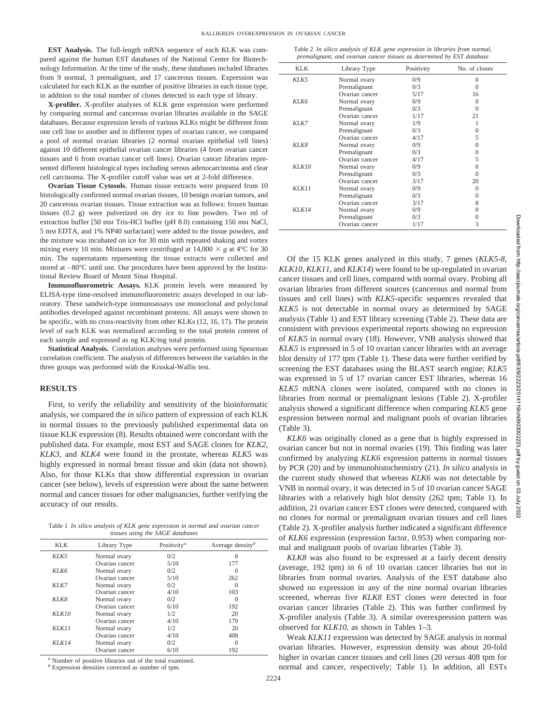**EST Analysis.** The full-length mRNA sequence of each KLK was compared against the human EST databases of the National Center for Biotechnology Information. At the time of the study, these databases included libraries from 9 normal, 3 premalignant, and 17 cancerous tissues. Expression was calculated for each KLK as the number of positive libraries in each tissue type, in addition to the total number of clones detected in each type of library.

**X-profiler.** X-profiler analyses of KLK gene expression were performed by comparing normal and cancerous ovarian libraries available in the SAGE databases. Because expression levels of various KLKs might be different from one cell line to another and in different types of ovarian cancer, we compared a pool of normal ovarian libraries (2 normal ovarian epithelial cell lines) against 10 different epithelial ovarian cancer libraries (4 from ovarian cancer tissues and 6 from ovarian cancer cell lines). Ovarian cancer libraries represented different histological types including serous adenocarcinoma and clear cell carcinoma. The X-profiler cutoff value was set at 2-fold difference.

**Ovarian Tissue Cytosols.** Human tissue extracts were prepared from 10 histologically confirmed normal ovarian tissues, 10 benign ovarian tumors, and 20 cancerous ovarian tissues. Tissue extraction was as follows: frozen human tissues (0.2 g) were pulverized on dry ice to fine powders. Two ml of extraction buffer [50 mM Tris-HCl buffer (pH 8.0) containing 150 mM NaCl, 5 mM EDTA, and 1% NP40 surfactant] were added to the tissue powders, and the mixture was incubated on ice for 30 min with repeated shaking and vortex mixing every 10 min. Mixtures were centrifuged at  $14,000 \times g$  at  $4^{\circ}$ C for 30 min. The supernatants representing the tissue extracts were collected and stored at  $-80^{\circ}$ C until use. Our procedures have been approved by the Institutional Review Board of Mount Sinai Hospital.

**Immunofluorometric Assays.** KLK protein levels were measured by ELISA-type time-resolved immunofluorometric assays developed in our laboratory. These sandwich-type immunoassays use monoclonal and polyclonal antibodies developed against recombinant proteins. All assays were shown to be specific, with no cross-reactivity from other KLKs (12, 16, 17). The protein level of each KLK was normalized according to the total protein content of each sample and expressed as ng KLK/mg total protein.

**Statistical Analysis.** Correlation analyses were performed using Spearman correlation coefficient. The analysis of differences between the variables in the three groups was performed with the Kruskal-Wallis test.

#### **RESULTS**

First, to verify the reliability and sensitivity of the bioinformatic analysis, we compared the *in silico* pattern of expression of each KLK in normal tissues to the previously published experimental data on tissue KLK expression (8). Results obtained were concordant with the published data. For example, most EST and SAGE clones for *KLK2, KLK3,* and *KLK4* were found in the prostate, whereas *KLK5* was highly expressed in normal breast tissue and skin (data not shown). Also, for those KLKs that show differential expression in ovarian cancer (see below), levels of expression were about the same between normal and cancer tissues for other malignancies, further verifying the accuracy of our results.

Table 1 *In silico analysis of KLK gene expression in normal and ovarian cancer tissues using the SAGE databases*

| <b>KLK</b> | Library Type   | Positivity <sup>a</sup> | Average density $b$ |
|------------|----------------|-------------------------|---------------------|
| $K L K$ 5  | Normal ovary   | 0/2                     | $\Omega$            |
|            | Ovarian cancer | 5/10                    | 177                 |
| KLK6       | Normal ovary   | 0/2                     | $\Omega$            |
|            | Ovarian cancer | 5/10                    | 262                 |
| $K L K$ 7  | Normal ovary   | 0/2                     | $\Omega$            |
|            | Ovarian cancer | 4/10                    | 103                 |
| KLK8       | Normal ovary   | 0/2                     | $\Omega$            |
|            | Ovarian cancer | 6/10                    | 192                 |
| KLK10      | Normal ovary   | 1/2                     | 20                  |
|            | Ovarian cancer | 4/10                    | 179                 |
| KLK11      | Normal ovary   | 1/2                     | 20                  |
|            | Ovarian cancer | 4/10                    | 408                 |
| KLR14      | Normal ovary   | 0/2                     | $\Omega$            |
|            | Ovarian cancer | 6/10                    | 192                 |

Number of positive libraries out of the total examined.

*<sup>b</sup>* Expression densities corrected as number of tpm.

Table 2 *In silico analysis of KLK gene expression in libraries from normal, premalignant, and ovarian cancer tissues as determined by EST database*

| KLK       | Library Type   | Positivity | No. of clones |
|-----------|----------------|------------|---------------|
| $K L K$ 5 | Normal ovary   | 0/9        | $\Omega$      |
|           | Premalignant   | 0/3        | 0             |
|           | Ovarian cancer | 5/17       | 16            |
| KLK6      | Normal ovary   | 0/9        | 0             |
|           | Premalignant   | 0/3        | $\Omega$      |
|           | Ovarian cancer | 1/17       | 21            |
| $K L K$ 7 | Normal ovary   | 1/9        |               |
|           | Premalignant   | 0/3        | 0             |
|           | Ovarian cancer | 4/17       | 5             |
| KLK8      | Normal ovary   | 0/9        | 0             |
|           | Premalignant   | 0/3        | $\Omega$      |
|           | Ovarian cancer | 4/17       | 5             |
| KLR10     | Normal ovary   | 0/9        | 0             |
|           | Premalignant   | 0/3        | 0             |
|           | Ovarian cancer | 3/17       | 20            |
| K L K 11  | Normal ovary   | 0/9        | 0             |
|           | Premalignant   | 0/3        | $\Omega$      |
|           | Ovarian cancer | 3/17       | 8             |
| KLR14     | Normal ovary   | 0/9        | 0             |
|           | Premalignant   | 0/3        | 0             |
|           | Ovarian cancer | 1/17       | 3             |

Of the 15 KLK genes analyzed in this study, 7 genes (*KLK5-8*, *KLK10, KLK11*, and *KLK14*) were found to be up-regulated in ovarian cancer tissues and cell lines, compared with normal ovary. Probing all ovarian libraries from different sources (cancerous and normal from tissues and cell lines) with *KLK5*-specific sequences revealed that *KLK5* is not detectable in normal ovary as determined by SAGE analysis (Table 1) and EST library screening (Table 2). These data are consistent with previous experimental reports showing no expression of *KLK5* in normal ovary (18). However, VNB analysis showed that *KLK5* is expressed in 5 of 10 ovarian cancer libraries with an average blot density of 177 tpm (Table 1). These data were further verified by screening the EST databases using the BLAST search engine; *KLK5* was expressed in 5 of 17 ovarian cancer EST libraries, whereas 16 *KLK5* mRNA clones were isolated, compared with no clones in libraries from normal or premalignant lesions (Table 2). X-profiler analysis showed a significant difference when comparing *KLK5* gene expression between normal and malignant pools of ovarian libraries (Table 3).

*KLK6* was originally cloned as a gene that is highly expressed in ovarian cancer but not in normal ovaries (19). This finding was later confirmed by analyzing *KLK6* expression patterns in normal tissues by PCR (20) and by immunohistochemistry (21). *In silico* analysis in the current study showed that whereas *KLK6* was not detectable by VNB in normal ovary, it was detected in 5 of 10 ovarian cancer SAGE libraries with a relatively high blot density (262 tpm; Table 1). In addition, 21 ovarian cancer EST clones were detected, compared with no clones for normal or premalignant ovarian tissues and cell lines (Table 2). X-profiler analysis further indicated a significant difference of *KLK6* expression (expression factor, 0.953) when comparing normal and malignant pools of ovarian libraries (Table 3).

*KLK8* was also found to be expressed at a fairly decent density (average, 192 tpm) in 6 of 10 ovarian cancer libraries but not in libraries from normal ovaries. Analysis of the EST database also showed no expression in any of the nine normal ovarian libraries screened, whereas five *KLK8* EST clones were detected in four ovarian cancer libraries (Table 2). This was further confirmed by X-profiler analysis (Table 3). A similar overexpression pattern was observed for *KLK10*, as shown in Tables 1–3.

Weak *KLK11* expression was detected by SAGE analysis in normal ovarian libraries. However, expression density was about 20-fold higher in ovarian cancer tissues and cell lines (20 *versus* 408 tpm for normal and cancer, respectively; Table 1). In addition, all ESTs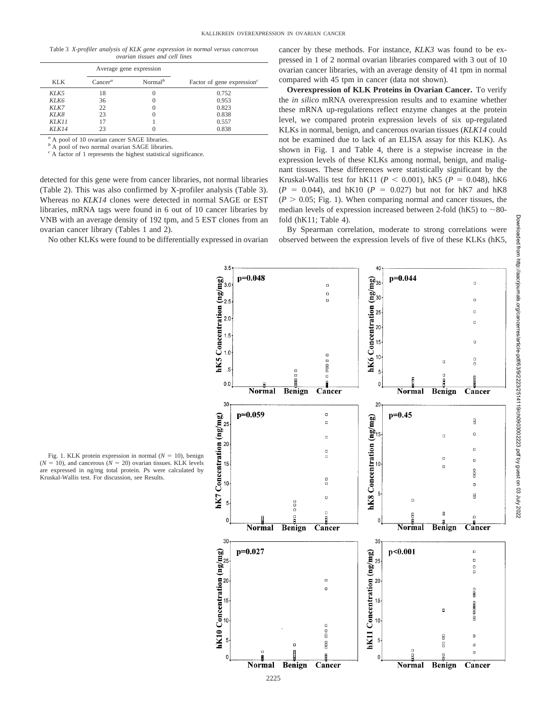Table 3 *X-profiler analysis of KLK gene expression in normal versus cancerous ovarian tissues and cell lines*

|       |            | Average gene expression          |                                                     |
|-------|------------|----------------------------------|-----------------------------------------------------|
| KLK   | $Cancer^a$ | Normal <sup><math>b</math></sup> | Factor of gene expression <sup><math>c</math></sup> |
| KLK5  | 18         |                                  | 0.752                                               |
| KLK6  | 36         |                                  | 0.953                                               |
| KLK7  | 22         |                                  | 0.823                                               |
| KLK8  | 23         |                                  | 0.838                                               |
| KLR11 | 17         |                                  | 0.557                                               |
| KLR14 | 23         |                                  | 0.838                                               |

*<sup>a</sup>* A pool of 10 ovarian cancer SAGE libraries.

*<sup>b</sup>* A pool of two normal ovarian SAGE libraries.

*<sup>c</sup>* A factor of 1 represents the highest statistical significance.

are expressed in ng/mg total protein. *P*s were calculated by

Kruskal-Wallis test. For discussion, see Results.

detected for this gene were from cancer libraries, not normal libraries (Table 2). This was also confirmed by X-profiler analysis (Table 3). Whereas no *KLK14* clones were detected in normal SAGE or EST libraries, mRNA tags were found in 6 out of 10 cancer libraries by VNB with an average density of 192 tpm, and 5 EST clones from an ovarian cancer library (Tables 1 and 2).

No other KLKs were found to be differentially expressed in ovarian

cancer by these methods. For instance, *KLK3* was found to be expressed in 1 of 2 normal ovarian libraries compared with 3 out of 10 ovarian cancer libraries, with an average density of 41 tpm in normal compared with 45 tpm in cancer (data not shown).

**Overexpression of KLK Proteins in Ovarian Cancer.** To verify the *in silico* mRNA overexpression results and to examine whether these mRNA up-regulations reflect enzyme changes at the protein level, we compared protein expression levels of six up-regulated KLKs in normal, benign, and cancerous ovarian tissues (*KLK14* could not be examined due to lack of an ELISA assay for this KLK). As shown in Fig. 1 and Table 4, there is a stepwise increase in the expression levels of these KLKs among normal, benign, and malignant tissues. These differences were statistically significant by the Kruskal-Wallis test for hK11 ( $P < 0.001$ ), hK5 ( $P = 0.048$ ), hK6  $(P = 0.044)$ , and hK10  $(P = 0.027)$  but not for hK7 and hK8  $(P > 0.05$ ; Fig. 1). When comparing normal and cancer tissues, the median levels of expression increased between 2-fold ( $hK5$ ) to  $\sim$ 80fold (hK11; Table 4).

By Spearman correlation, moderate to strong correlations were observed between the expression levels of five of these KLKs (hK5,

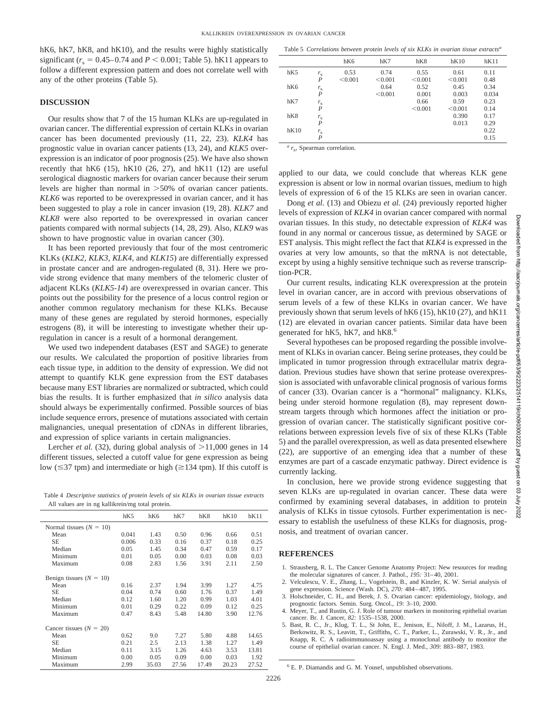hK6, hK7, hK8, and hK10), and the results were highly statistically significant ( $r_s = 0.45-0.74$  and  $P < 0.001$ ; Table 5). hK11 appears to follow a different expression pattern and does not correlate well with any of the other proteins (Table 5).

#### **DISCUSSION**

Our results show that 7 of the 15 human KLKs are up-regulated in ovarian cancer. The differential expression of certain KLKs in ovarian cancer has been documented previously (11, 22, 23). *KLK4* has prognostic value in ovarian cancer patients (13, 24), and *KLK5* overexpression is an indicator of poor prognosis (25). We have also shown recently that  $hK6$  (15),  $hK10$  (26, 27), and  $hK11$  (12) are useful serological diagnostic markers for ovarian cancer because their serum levels are higher than normal in  $>50\%$  of ovarian cancer patients. *KLK6* was reported to be overexpressed in ovarian cancer, and it has been suggested to play a role in cancer invasion (19, 28). *KLK7* and *KLK8* were also reported to be overexpressed in ovarian cancer patients compared with normal subjects (14, 28, 29). Also, *KLK9* was shown to have prognostic value in ovarian cancer (30).

It has been reported previously that four of the most centromeric KLKs (*KLK2, KLK3, KLK4,* and *KLK15*) are differentially expressed in prostate cancer and are androgen-regulated (8, 31). Here we provide strong evidence that many members of the telomeric cluster of adjacent KLKs (*KLK5-14*) are overexpressed in ovarian cancer. This points out the possibility for the presence of a locus control region or another common regulatory mechanism for these KLKs. Because many of these genes are regulated by steroid hormones, especially estrogens (8), it will be interesting to investigate whether their upregulation in cancer is a result of a hormonal derangement.

We used two independent databases (EST and SAGE) to generate our results. We calculated the proportion of positive libraries from each tissue type, in addition to the density of expression. We did not attempt to quantify KLK gene expression from the EST databases because many EST libraries are normalized or subtracted, which could bias the results. It is further emphasized that *in silico* analysis data should always be experimentally confirmed. Possible sources of bias include sequence errors, presence of mutations associated with certain malignancies, unequal presentation of cDNAs in different libraries, and expression of splice variants in certain malignancies.

Lercher *et al.* (32), during global analysis of  $>11,000$  genes in 14 different tissues, selected a cutoff value for gene expression as being low ( $\leq$ 37 tpm) and intermediate or high ( $\geq$ 134 tpm). If this cutoff is

Table 4 *Descriptive statistics of protein levels of six KLKs in ovarian tissue extracts* All values are in ng kallikrein/mg total protein.

|                           | hK5   | hK6   | hK7   | hK8   | hK10  | hK11  |
|---------------------------|-------|-------|-------|-------|-------|-------|
| Normal tissues $(N = 10)$ |       |       |       |       |       |       |
| Mean                      | 0.041 | 1.43  | 0.50  | 0.96  | 0.66  | 0.51  |
| <b>SE</b>                 | 0.006 | 0.33  | 0.16  | 0.37  | 0.18  | 0.25  |
| Median                    | 0.05  | 1.45  | 0.34  | 0.47  | 0.59  | 0.17  |
| Minimum                   | 0.01  | 0.05  | 0.00  | 0.03  | 0.08  | 0.03  |
| Maximum                   | 0.08  | 2.83  | 1.56  | 3.91  | 2.11  | 2.50  |
| Benign tissues $(N = 10)$ |       |       |       |       |       |       |
| Mean                      | 0.16  | 2.37  | 1.94  | 3.99  | 1.27  | 4.75  |
| SЕ                        | 0.04  | 0.74  | 0.60  | 1.76  | 0.37  | 1.49  |
| Median                    | 0.12  | 1.60  | 1.20  | 0.99  | 1.03  | 4.01  |
| Minimum                   | 0.01  | 0.29  | 0.22  | 0.09  | 0.12  | 0.25  |
| Maximum                   | 0.47  | 8.43  | 5.48  | 14.80 | 3.90  | 12.76 |
| Cancer tissues $(N = 20)$ |       |       |       |       |       |       |
| Mean                      | 0.62  | 9.0   | 7.27  | 5.80  | 4.88  | 14.65 |
| SЕ                        | 0.21  | 2.5   | 2.13  | 1.38  | 1.27  | 1.49  |
| Median                    | 0.11  | 3.15  | 1.26  | 4.63  | 3.53  | 13.81 |
| Minimum                   | 0.00  | 0.05  | 0.09  | 0.00  | 0.03  | 1.92  |
| Maximum                   | 2.99  | 35.03 | 27.56 | 17.49 | 20.23 | 27.52 |

|      | Table 5 Correlations between protein levels of six KLKs in ovarian tissue extracts <sup>a</sup> |         |         |         |         |       |  |
|------|-------------------------------------------------------------------------------------------------|---------|---------|---------|---------|-------|--|
|      |                                                                                                 | hK6     | hK7     | hK8     | hK10    | hK11  |  |
| hK5  | $r_{\rm s}$                                                                                     | 0.53    | 0.74    | 0.55    | 0.61    | 0.11  |  |
|      | $\boldsymbol{P}$                                                                                | < 0.001 | < 0.001 | < 0.001 | < 0.001 | 0.48  |  |
| hK6  | $r_{\rm s}$                                                                                     |         | 0.64    | 0.52    | 0.45    | 0.34  |  |
|      | $\boldsymbol{P}$                                                                                |         | < 0.001 | 0.001   | 0.003   | 0.034 |  |
| hK7  |                                                                                                 |         |         | 0.66    | 0.59    | 0.23  |  |
|      | $\frac{r_s}{P}$                                                                                 |         |         | < 0.001 | < 0.001 | 0.14  |  |
| hK8  | $r_{\rm s}$                                                                                     |         |         |         | 0.390   | 0.17  |  |
|      | P                                                                                               |         |         |         | 0.013   | 0.29  |  |
| hK10 | $r_{\rm s}$                                                                                     |         |         |         |         | 0.22  |  |
|      | P                                                                                               |         |         |         |         | 0.15  |  |

 $a_{r}$ , Spearman correlation.

applied to our data, we could conclude that whereas KLK gene expression is absent or low in normal ovarian tissues, medium to high levels of expression of 6 of the 15 KLKs are seen in ovarian cancer.

Dong *et al.* (13) and Obiezu *et al.* (24) previously reported higher levels of expression of *KLK4* in ovarian cancer compared with normal ovarian tissues. In this study, no detectable expression of *KLK4* was found in any normal or cancerous tissue, as determined by SAGE or EST analysis. This might reflect the fact that *KLK4* is expressed in the ovaries at very low amounts, so that the mRNA is not detectable, except by using a highly sensitive technique such as reverse transcription-PCR.

Our current results, indicating KLK overexpression at the protein level in ovarian cancer, are in accord with previous observations of serum levels of a few of these KLKs in ovarian cancer. We have previously shown that serum levels of hK6 (15), hK10 (27), and hK11 (12) are elevated in ovarian cancer patients. Similar data have been generated for hK5, hK7, and hK8.<sup>6</sup>

Several hypotheses can be proposed regarding the possible involvement of KLKs in ovarian cancer. Being serine proteases, they could be implicated in tumor progression through extracellular matrix degradation. Previous studies have shown that serine protease overexpression is associated with unfavorable clinical prognosis of various forms of cancer (33). Ovarian cancer is a "hormonal" malignancy. KLKs, being under steroid hormone regulation (8), may represent downstream targets through which hormones affect the initiation or progression of ovarian cancer. The statistically significant positive correlations between expression levels five of six of these KLKs (Table 5) and the parallel overexpression, as well as data presented elsewhere (22), are supportive of an emerging idea that a number of these enzymes are part of a cascade enzymatic pathway. Direct evidence is currently lacking.

In conclusion, here we provide strong evidence suggesting that seven KLKs are up-regulated in ovarian cancer. These data were confirmed by examining several databases, in addition to protein analysis of KLKs in tissue cytosols. Further experimentation is necessary to establish the usefulness of these KLKs for diagnosis, prognosis, and treatment of ovarian cancer.

## **REFERENCES**

- 1. Strausberg, R. L. The Cancer Genome Anatomy Project: New resources for reading the molecular signatures of cancer. J. Pathol., *195:* 31–40, 2001.
- 2. Velculescu, V. E., Zhang, L., Vogelstein, B., and Kinzler, K. W. Serial analysis of gene expression. Science (Wash. DC), *270:* 484–487, 1995.
- 3. Holschneider, C. H., and Berek, J. S. Ovarian cancer: epidemiology, biology, and prognostic factors. Semin. Surg. Oncol., *19:* 3–10, 2000.
- 4. Meyer, T., and Rustin, G. J. Role of tumour markers in monitoring epithelial ovarian cancer. Br. J. Cancer, *82:* 1535–1538, 2000.
- 5. Bast, R. C., Jr., Klug, T. L., St John, E., Jenison, E., Niloff, J. M., Lazarus, H., Berkowitz, R. S., Leavitt, T., Griffiths, C. T., Parker, L., Zurawski, V. R., Jr., and Knapp, R. C. A radioimmunoassay using a monoclonal antibody to monitor the course of epithelial ovarian cancer. N. Engl. J. Med., *309:* 883–887, 1983.

<sup>6</sup> E. P. Diamandis and G. M. Yousef, unpublished observations.